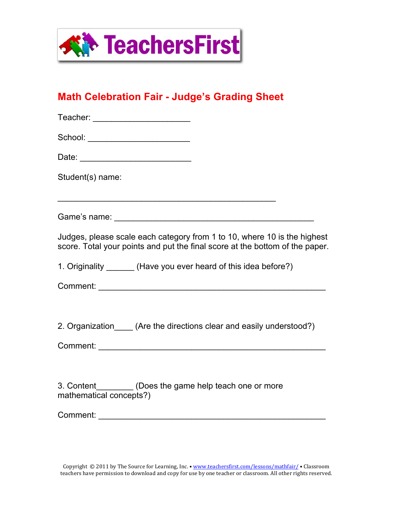

## **Math Celebration Fair - Judge's Grading Sheet**

| Teacher: _________________________                                                                                                                       |
|----------------------------------------------------------------------------------------------------------------------------------------------------------|
| School: _________________________                                                                                                                        |
|                                                                                                                                                          |
| Student(s) name:                                                                                                                                         |
| <u> 1989 - Johann Barbara, marka a shekara ta 1989 - An tsara tsa a shekara tsa a shekara tsa a shekara tsa a sh</u>                                     |
|                                                                                                                                                          |
| Judges, please scale each category from 1 to 10, where 10 is the highest<br>score. Total your points and put the final score at the bottom of the paper. |
| 1. Originality ________ (Have you ever heard of this idea before?)                                                                                       |
|                                                                                                                                                          |
|                                                                                                                                                          |
| 2. Organization (Are the directions clear and easily understood?)                                                                                        |
|                                                                                                                                                          |
|                                                                                                                                                          |
| 3. Content__________ (Does the game help teach one or more<br>mathematical concepts?)                                                                    |
|                                                                                                                                                          |